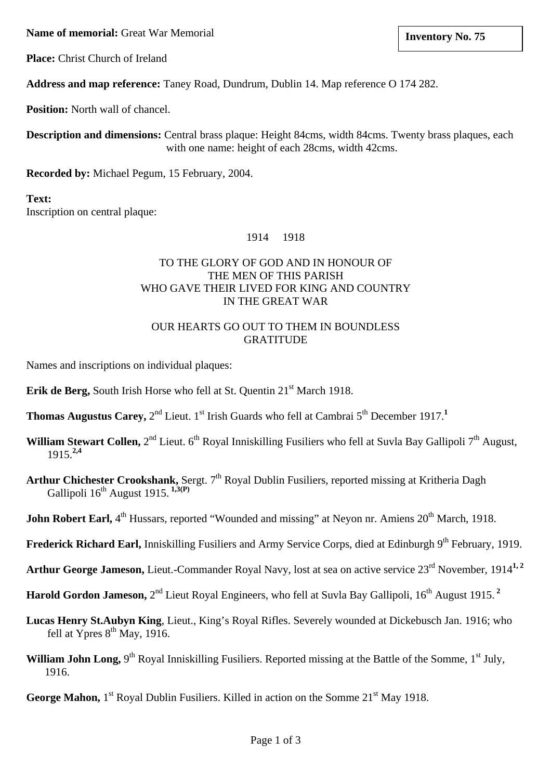**Name of memorial:** Great War Memorial **Inventory No. 75 lack 10 and 10 and 10 and 10 and 10 and 10 and 10 and 10 and 10 and 10 and 10 and 10 and 10 and 10 and 10 and 10 and 10 and 10 and 10 and 10 and 10 and 10 and 10 a** 

**Place:** Christ Church of Ireland

**Address and map reference:** Taney Road, Dundrum, Dublin 14. Map reference O 174 282.

**Position:** North wall of chancel.

**Description and dimensions:** Central brass plaque: Height 84cms, width 84cms. Twenty brass plaques, each with one name: height of each 28cms, width 42cms.

**Recorded by:** Michael Pegum, 15 February, 2004.

### **Text:** Inscription on central plaque:

#### 1914 1918

### TO THE GLORY OF GOD AND IN HONOUR OF THE MEN OF THIS PARISH WHO GAVE THEIR LIVED FOR KING AND COUNTRY IN THE GREAT WAR

#### OUR HEARTS GO OUT TO THEM IN BOUNDLESS GRATITUDE

Names and inscriptions on individual plaques:

**Erik de Berg, South Irish Horse who fell at St. Quentin 21st March 1918.** 

- **Thomas Augustus Carey,**  $2^{nd}$  Lieut. 1<sup>st</sup> Irish Guards who fell at Cambrai 5<sup>th</sup> December 1917.<sup>1</sup>
- **William Stewart Collen,** 2<sup>nd</sup> Lieut. 6<sup>th</sup> Royal Inniskilling Fusiliers who fell at Suvla Bay Gallipoli 7<sup>th</sup> August, 1915.**2,4**
- Arthur Chichester Crookshank, Sergt. 7<sup>th</sup> Royal Dublin Fusiliers, reported missing at Kritheria Dagh Gallipoli 16th August 1915. **1,3(P)**
- **John Robert Earl,** 4<sup>th</sup> Hussars, reported "Wounded and missing" at Neyon nr. Amiens 20<sup>th</sup> March, 1918.
- **Frederick Richard Earl, Inniskilling Fusiliers and Army Service Corps, died at Edinburgh 9<sup>th</sup> February, 1919.**
- Arthur George Jameson, Lieut.-Commander Royal Navy, lost at sea on active service 23<sup>rd</sup> November, 1914<sup>1, 2</sup>
- **Harold Gordon Jameson,**  $2^{nd}$  Lieut Royal Engineers, who fell at Suvla Bay Gallipoli, 16<sup>th</sup> August 1915.<sup>2</sup>
- **Lucas Henry St.Aubyn King**, Lieut., King's Royal Rifles. Severely wounded at Dickebusch Jan. 1916; who fell at Ypres  $8<sup>th</sup>$  May, 1916.
- **William John Long,** 9<sup>th</sup> Royal Inniskilling Fusiliers. Reported missing at the Battle of the Somme, 1<sup>st</sup> July, 1916.
- **George Mahon,** 1<sup>st</sup> Royal Dublin Fusiliers. Killed in action on the Somme 21<sup>st</sup> May 1918.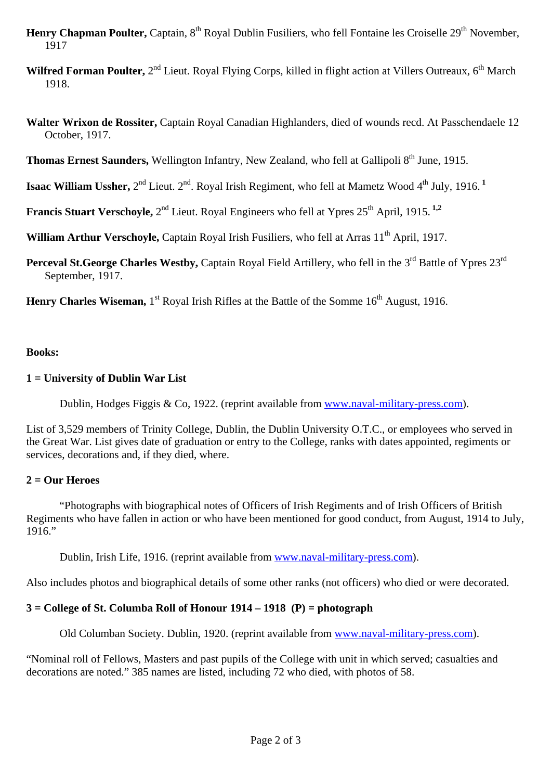- **Henry Chapman Poulter, Captain, 8<sup>th</sup> Royal Dublin Fusiliers, who fell Fontaine les Croiselle 29<sup>th</sup> November,** 1917
- Wilfred Forman Poulter, 2<sup>nd</sup> Lieut. Royal Flying Corps, killed in flight action at Villers Outreaux, 6<sup>th</sup> March 1918.
- **Walter Wrixon de Rossiter,** Captain Royal Canadian Highlanders, died of wounds recd. At Passchendaele 12 October, 1917.

**Thomas Ernest Saunders, Wellington Infantry, New Zealand, who fell at Gallipoli 8<sup>th</sup> June, 1915.** 

**Isaac William Ussher,**  $2^{nd}$  Lieut.  $2^{nd}$ . Royal Irish Regiment, who fell at Mametz Wood  $4^{th}$  July, 1916.<sup>1</sup>

**Francis Stuart Verschoyle,**  $2^{nd}$  Lieut. Royal Engineers who fell at Ypres  $25^{th}$  April, 1915.<sup>1,2</sup>

**William Arthur Verschoyle, Captain Royal Irish Fusiliers, who fell at Arras 11<sup>th</sup> April, 1917.** 

**Perceval St.George Charles Westby, Captain Royal Field Artillery, who fell in the 3<sup>rd</sup> Battle of Ypres 23<sup>rd</sup>** September, 1917.

**Henry Charles Wiseman, 1st** Royal Irish Rifles at the Battle of the Somme 16<sup>th</sup> August, 1916.

#### **Books:**

#### **1 = University of Dublin War List**

Dublin, Hodges Figgis & Co, 1922. (reprint available from [www.naval-military-press.com\)](http://www.naval-military-press.com/).

List of 3,529 members of Trinity College, Dublin, the Dublin University O.T.C., or employees who served in the Great War. List gives date of graduation or entry to the College, ranks with dates appointed, regiments or services, decorations and, if they died, where.

#### **2 = Our Heroes**

 "Photographs with biographical notes of Officers of Irish Regiments and of Irish Officers of British Regiments who have fallen in action or who have been mentioned for good conduct, from August, 1914 to July, 1916."

Dublin, Irish Life, 1916. (reprint available from [www.naval-military-press.com\)](http://www.naval-military-press.com/).

Also includes photos and biographical details of some other ranks (not officers) who died or were decorated.

# **3 = College of St. Columba Roll of Honour 1914 – 1918 (P) = photograph**

Old Columban Society. Dublin, 1920. (reprint available from [www.naval-military-press.com\)](http://www.naval-military-press.com/).

"Nominal roll of Fellows, Masters and past pupils of the College with unit in which served; casualties and decorations are noted." 385 names are listed, including 72 who died, with photos of 58.